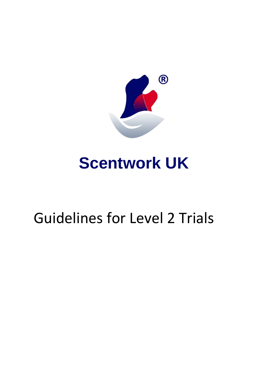

# **Scentwork UK**

## Guidelines for Level 2 Trials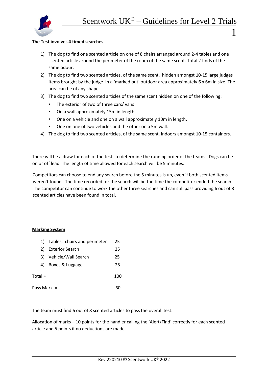

## **The Test involves 4 timed searches**

- 1) The dog to find one scented article on one of 8 chairs arranged around 2-4 tables and one scented article around the perimeter of the room of the same scent. Total 2 finds of the same odour.
- 2) The dog to find two scented articles, of the same scent, hidden amongst 10-15 large judges items brought by the judge in a 'marked out' outdoor area approximately 6 x 6m in size. The area can be of any shape.
- 3) The dog to find two scented articles of the same scent hidden on one of the following:
	- The exterior of two of three cars/ vans
	- On a wall approximately 15m in length
	- One on a vehicle and one on a wall approximately 10m in length.
	- One on one of two vehicles and the other on a 5m wall.
- 4) The dog to find two scented articles, of the same scent, indoors amongst 10-15 containers.

There will be a draw for each of the tests to determine the running order of the teams. Dogs can be on or off lead. The length of time allowed for each search will be 5 minutes.

Competitors can choose to end any search before the 5 minutes is up, even if both scented items weren't found. The time recorded for the search will be the time the competitor ended the search. The competitor can continue to work the other three searches and can still pass providing 6 out of 8 scented articles have been found in total.

## **Marking System**

|               | 1) Tables, chairs and perimeter | 25  |
|---------------|---------------------------------|-----|
| 2)            | <b>Exterior Search</b>          | 25  |
| 3)            | Vehicle/Wall Search             | 25  |
| 4)            | Boxes & Luggage                 | 25  |
| $Total =$     |                                 | 100 |
| Pass Mark $=$ |                                 |     |

The team must find 6 out of 8 scented articles to pass the overall test.

Allocation of marks – 10 points for the handler calling the 'Alert/Find' correctly for each scented article and 5 points if no deductions are made.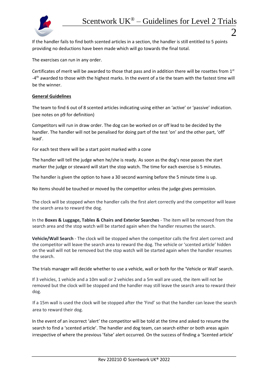

If the handler fails to find both scented articles in a section, the handler is still entitled to 5 points providing no deductions have been made which will go towards the final total.

The exercises can run in any order.

Certificates of merit will be awarded to those that pass and in addition there will be rosettes from 1st -4<sup>th</sup> awarded to those with the highest marks. In the event of a tie the team with the fastest time will be the winner.

## **General Guidelines**

The team to find 6 out of 8 scented articles indicating using either an 'active' or 'passive' indication. (see notes on p9 for definition)

Competitors will run in draw order. The dog can be worked on or off lead to be decided by the handler. The handler will not be penalised for doing part of the test 'on' and the other part, 'off' lead'.

For each test there will be a start point marked with a cone

The handler will tell the judge when he/she is ready. As soon as the dog's nose passes the start marker the judge or steward will start the stop watch. The time for each exercise is 5 minutes.

The handler is given the option to have a 30 second warning before the 5 minute time is up.

No items should be touched or moved by the competitor unless the judge gives permission.

The clock will be stopped when the handler calls the first alert correctly and the competitor will leave the search area to reward the dog.

In the **Boxes & Luggage, Tables & Chairs and Exterior Searches** - The item will be removed from the search area and the stop watch will be started again when the handler resumes the search.

**Vehicle/Wall Search** - The clock will be stopped when the competitor calls the first alert correct and the competitor will leave the search area to reward the dog. The vehicle or 'scented article' hidden on the wall will not be removed but the stop watch will be started again when the handler resumes the search.

The trials manager will decide whether to use a vehicle, wall or both for the 'Vehicle or Wall' search.

If 3 vehicles, 1 vehicle and a 10m wall or 2 vehicles and a 5m wall are used, the item will not be removed but the clock will be stopped and the handler may still leave the search area to reward their dog.

If a 15m wall is used the clock will be stopped after the 'Find' so that the handler can leave the search area to reward their dog.

In the event of an incorrect 'alert' the competitor will be told at the time and asked to resume the search to find a 'scented article'. The handler and dog team, can search either or both areas again irrespective of where the previous 'false' alert occurred. On the success of finding a 'Scented article'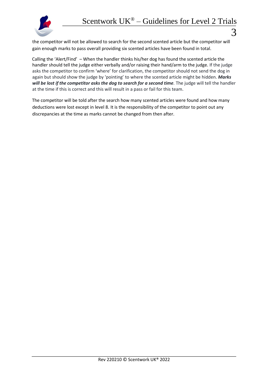

the competitor will not be allowed to search for the second scented article but the competitor will gain enough marks to pass overall providing six scented articles have been found in total.

Calling the 'Alert/Find' – When the handler thinks his/her dog has found the scented article the handler should tell the judge either verbally and/or raising their hand/arm to the judge. If the judge asks the competitor to confirm 'where' for clarification, the competitor should not send the dog in again but should show the judge by 'pointing' to where the scented article might be hidden. *Marks*  will be lost if the competitor asks the dog to search for a second time. The judge will tell the handler at the time if this is correct and this will result in a pass or fail for this team.

The competitor will be told after the search how many scented articles were found and how many deductions were lost except in level 8. It is the responsibility of the competitor to point out any discrepancies at the time as marks cannot be changed from then after.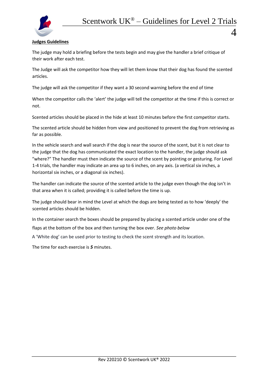

 $\varDelta$ 

## **Judges Guidelines**

The judge may hold a briefing before the tests begin and may give the handler a brief critique of their work after each test.

The Judge will ask the competitor how they will let them know that their dog has found the scented articles.

The judge will ask the competitor if they want a 30 second warning before the end of time

When the competitor calls the 'alert' the judge will tell the competitor at the time if this is correct or not.

Scented articles should be placed in the hide at least 10 minutes before the first competitor starts.

The scented article should be hidden from view and positioned to prevent the dog from retrieving as far as possible.

In the vehicle search and wall search if the dog is near the source of the scent, but it is not clear to the judge that the dog has communicated the exact location to the handler, the judge should ask "where?" The handler must then indicate the source of the scent by pointing or gesturing. For Level 1-4 trials, the handler may indicate an area up to 6 inches, on any axis. (a vertical six inches, a horizontal six inches, or a diagonal six inches).

The handler can indicate the source of the scented article to the judge even though the dog isn't in that area when it is called; providing it is called before the time is up.

The judge should bear in mind the Level at which the dogs are being tested as to how 'deeply' the scented articles should be hidden.

In the container search the boxes should be prepared by placing a scented article under one of the

flaps at the bottom of the box and then turning the box over. *See photo below*

A 'White dog' can be used prior to testing to check the scent strength and its location.

The time for each exercise is *5* minutes.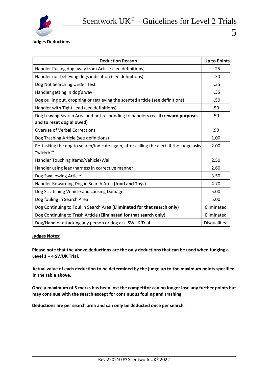

## **Judges Deductions**

| <b>Deduction Reason</b>                                                                                     | <b>Up to Points</b> |  |
|-------------------------------------------------------------------------------------------------------------|---------------------|--|
| Handler Pulling dog away from Article (see definitions)                                                     |                     |  |
| Handler not believing dogs indication (see definitions)                                                     |                     |  |
| Dog Not Searching Under Test                                                                                |                     |  |
| Handler getting in dog's way                                                                                |                     |  |
| Dog pulling out, dropping or retrieving the scented article (see definitions)                               |                     |  |
| Handler with Tight Lead (see definitions)                                                                   |                     |  |
| Dog Leaving Search Area and not responding to handlers recall (reward purposes<br>and to reset dog allowed) |                     |  |
| <b>Overuse of Verbal Corrections</b>                                                                        | .90                 |  |
| Dog Trashing Article (see definitions)                                                                      | 1.00                |  |
| Re-tasking the dog to search/indicate again, after calling the alert, if the judge asks<br>"where?"         |                     |  |
| Handler Touching Items/Vehicle/Wall                                                                         |                     |  |
| Handler using lead/harness in corrective manner                                                             |                     |  |
| Dog Swallowing Article                                                                                      |                     |  |
| Handler Rewarding Dog in Search Area (food and Toys)                                                        |                     |  |
| Dog Scratching Vehicle and causing Damage                                                                   |                     |  |
| Dog fouling in Search Area                                                                                  |                     |  |
| Dog Continuing to Foul in Search Area (Eliminated for that search only)                                     |                     |  |
| Dog Continuing to Trash Article (Eliminated for that search only)                                           |                     |  |
| Dog/Handler attacking any person or dog at a SWUK Trial                                                     |                     |  |

#### **Judges Notes:**

**Please note that the above deductions are the only deductions that can be used when Judging a Level 1 – 4 SWUK Trial.** 

**Actual value of each deduction to be determined by the judge up to the maximum points specified in the table above.**

**Once a maximum of 5 marks has been lost the competitor can no longer lose any further points but may continue with the search except for continuous fouling and trashing.** 

**Deductions are per search area and can only be deducted once per search.**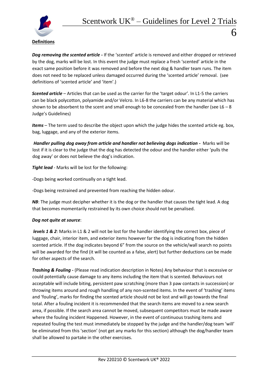

*Dog removing the scented article -* If the 'scented' article is removed and either dropped or retrieved by the dog, marks will be lost. In this event the judge must replace a fresh 'scented' article in the exact same position before it was removed and before the next dog & handler team runs. The item does not need to be replaced unless damaged occurred during the 'scented article' removal. (see definitions of 'scented article' and 'item'.)

*Scented article* – Articles that can be used as the carrier for the 'target odour'. In L1-5 the carriers can be black polycotton, polyamide and/or Velcro. In L6-8 the carriers can be any material which has shown to be absorbent to the scent and small enough to be concealed from the handler (see  $L6 - 8$ ) Judge's Guidelines)

*Items* – The term used to describe the object upon which the judge hides the scented article eg. box, bag, luggage, and any of the exterior items.

*Handler pulling dog away from article and handler not believing dogs indication -* Marks will be lost if it is clear to the judge that the dog has detected the odour and the handler either 'pulls the dog away' or does not believe the dog's indication.

*Tight lead* - Marks will be lost for the following:

-Dogs being worked continually on a tight lead.

-Dogs being restrained and prevented from reaching the hidden odour.

**NB:** The judge must decipher whether it is the dog or the handler that causes the tight lead. A dog that becomes momentarily restrained by its own choice should not be penalised.

## *Dog not quite at source*:

*levels 1 & 2*: Marks in L1 & 2 will not be lost for the handler identifying the correct box, piece of luggage, chair, interior item, and exterior items however far the dog is indicating from the hidden scented article. If the dog indicates beyond 6" from the source on the vehicle/wall search no points will be awarded for the find (it will be counted as a false, alert) but further deductions can be made for other aspects of the search.

*Trashing & Fouling -* (Please read indication description in Notes) Any behaviour that is excessive or could potentially cause damage to any items including the item that is scented. Behaviours not acceptable will include biting, persistent paw scratching (more than 3 paw contacts in succession) or throwing items around and rough handling of any non-scented items. In the event of 'trashing' items and 'fouling', marks for finding the scented article should not be lost and will go towards the final total. After a fouling incident it is recommended that the search items are moved to a new search area, if possible. If the search area cannot be moved, subsequent competitors must be made aware where the fouling incident Happened. However, in the event of continuous trashing items and repeated fouling the test must immediately be stopped by the judge and the handler/dog team 'will' be eliminated from this 'section' (not get any marks for this section) although the dog/handler team shall be allowed to partake in the other exercises.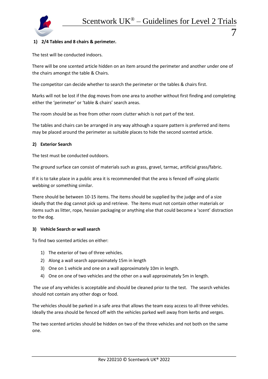

## **1) 2/4 Tables and 8 chairs & perimeter.**

The test will be conducted indoors.

There will be one scented article hidden on an item around the perimeter and another under one of the chairs amongst the table & Chairs.

The competitor can decide whether to search the perimeter or the tables & chairs first.

Marks will not be lost if the dog moves from one area to another without first finding and completing either the 'perimeter' or 'table & chairs' search areas.

The room should be as free from other room clutter which is not part of the test.

The tables and chairs can be arranged in any way although a square pattern is preferred and items may be placed around the perimeter as suitable places to hide the second scented article.

#### **2) Exterior Search**

The test must be conducted outdoors.

The ground surface can consist of materials such as grass, gravel, tarmac, artificial grass/fabric.

If it is to take place in a public area it is recommended that the area is fenced off using plastic webbing or something similar.

There should be between 10-15 items. The items should be supplied by the judge and of a size ideally that the dog cannot pick up and retrieve. The items must not contain other materials or items such as litter, rope, hessian packaging or anything else that could become a 'scent' distraction to the dog.

#### **3) Vehicle Search or wall search**

To find two scented articles on either:

- 1) The exterior of two of three vehicles.
- 2) Along a wall search approximately 15m in length
- 3) One on 1 vehicle and one on a wall approximately 10m in length.
- 4) One on one of two vehicles and the other on a wall approximately 5m in length.

The use of any vehicles is acceptable and should be cleaned prior to the test. The search vehicles should not contain any other dogs or food.

The vehicles should be parked in a safe area that allows the team easy access to all three vehicles. Ideally the area should be fenced off with the vehicles parked well away from kerbs and verges.

The two scented articles should be hidden on two of the three vehicles and not both on the same one.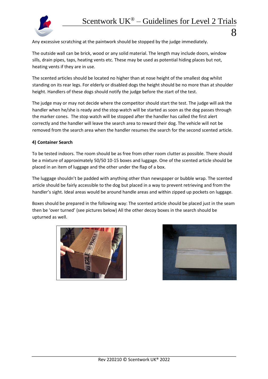

Any excessive scratching at the paintwork should be stopped by the judge immediately.

The outside wall can be brick, wood or any solid material. The length may include doors, window sills, drain pipes, taps, heating vents etc. These may be used as potential hiding places but not, heating vents if they are in use.

The scented articles should be located no higher than at nose height of the smallest dog whilst standing on its rear legs. For elderly or disabled dogs the height should be no more than at shoulder height. Handlers of these dogs should notify the judge before the start of the test.

The judge may or may not decide where the competitor should start the test. The judge will ask the handler when he/she is ready and the stop watch will be started as soon as the dog passes through the marker cones. The stop watch will be stopped after the handler has called the first alert correctly and the handler will leave the search area to reward their dog. The vehicle will not be removed from the search area when the handler resumes the search for the second scented article.

#### **4) Container Search**

To be tested indoors. The room should be as free from other room clutter as possible. There should be a mixture of approximately 50/50 10-15 boxes and luggage. One of the scented article should be placed in an item of luggage and the other under the flap of a box.

The luggage shouldn't be padded with anything other than newspaper or bubble wrap. The scented article should be fairly accessible to the dog but placed in a way to prevent retrieving and from the handler's sight. Ideal areas would be around handle areas and within zipped up pockets on luggage.

Boxes should be prepared in the following way: The scented article should be placed just in the seam then be 'over turned' (see pictures below) All the other decoy boxes in the search should be upturned as well.



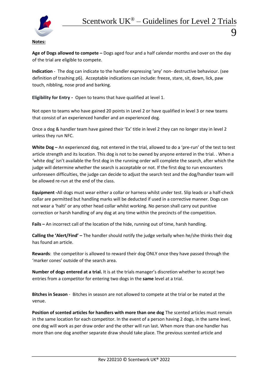

## **Notes:**

**Age of Dogs allowed to compete –** Dogs aged four and a half calendar months and over on the day of the trial are eligible to compete.

**Indication** - The dog can indicate to the handler expressing 'any' non- destructive behaviour. (see definition of trashing p6). Acceptable indications can include: freeze, stare, sit, down, lick, paw touch, nibbling, nose prod and barking.

**Eligibility for Entry** *-* Open to teams that have qualified at level 1.

Not open to teams who have gained 20 points in Level 2 or have qualified in level 3 or new teams that consist of an experienced handler and an experienced dog.

Once a dog & handler team have gained their 'Ex' title in level 2 they can no longer stay in level 2 unless they run NFC.

**White Dog –** An experienced dog, not entered in the trial, allowed to do a 'pre-run' of the test to test article strength and its location. This dog is not to be owned by anyone entered in the trial. . When a 'white dog' isn't available the first dog in the running order will complete the search, after which the judge will determine whether the search is acceptable or not. If the first dog to run encounters unforeseen difficulties, the judge can decide to adjust the search test and the dog/handler team will be allowed re-run at the end of the class.

**Equipment -**All dogs must wear either a collar or harness whilst under test. Slip leads or a half-check collar are permitted but handling marks will be deducted if used in a corrective manner. Dogs can not wear a 'halti' or any other head collar whilst working. No person shall carry out punitive correction or harsh handling of any dog at any time within the precincts of the competition.

**Fails –** An incorrect call of the location of the hide, running out of time, harsh handling.

**Calling the 'Alert/Find' –** The handler should notify the judge verbally when he/she thinks their dog has found an article.

**Rewards**: the competitor is allowed to reward their dog ONLY once they have passed through the 'marker cones' outside of the search area.

**Number of dogs entered at a trial.** It is at the trials manager's discretion whether to accept two entries from a competitor for entering two dogs in the **same** level at a trial.

**Bitches in Season** - Bitches in season are not allowed to compete at the trial or be mated at the venue.

**Position of scented articles for handlers with more than one dog** The scented articles must remain in the same location for each competitor. In the event of a person having 2 dogs, in the same level, one dog will work as per draw order and the other will run last. When more than one handler has more than one dog another separate draw should take place. The previous scented article and